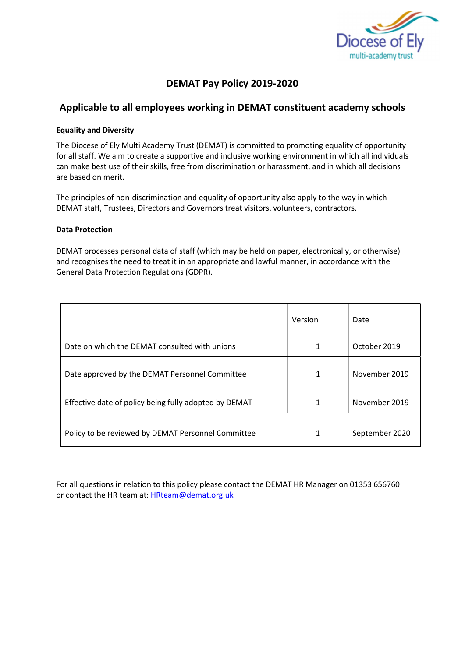

# DEMAT Pay Policy 2019-2020

# Applicable to all employees working in DEMAT constituent academy schools

### Equality and Diversity

The Diocese of Ely Multi Academy Trust (DEMAT) is committed to promoting equality of opportunity for all staff. We aim to create a supportive and inclusive working environment in which all individuals can make best use of their skills, free from discrimination or harassment, and in which all decisions are based on merit.

The principles of non-discrimination and equality of opportunity also apply to the way in which DEMAT staff, Trustees, Directors and Governors treat visitors, volunteers, contractors.

#### Data Protection

DEMAT processes personal data of staff (which may be held on paper, electronically, or otherwise) and recognises the need to treat it in an appropriate and lawful manner, in accordance with the General Data Protection Regulations (GDPR).

|                                                       | Version | Date           |
|-------------------------------------------------------|---------|----------------|
| Date on which the DEMAT consulted with unions         | 1       | October 2019   |
| Date approved by the DEMAT Personnel Committee        | 1       | November 2019  |
| Effective date of policy being fully adopted by DEMAT | 1       | November 2019  |
| Policy to be reviewed by DEMAT Personnel Committee    | 1       | September 2020 |

For all questions in relation to this policy please contact the DEMAT HR Manager on 01353 656760 or contact the HR team at: HRteam@demat.org.uk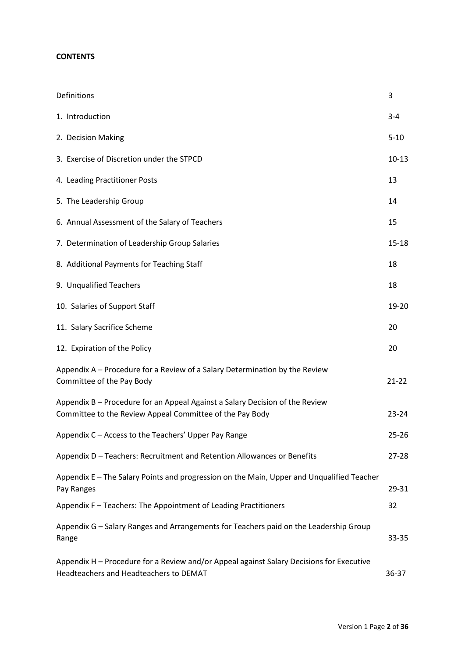### **CONTENTS**

| Definitions                                                                                                                              | 3         |
|------------------------------------------------------------------------------------------------------------------------------------------|-----------|
| 1. Introduction                                                                                                                          | $3 - 4$   |
| 2. Decision Making                                                                                                                       | $5 - 10$  |
| 3. Exercise of Discretion under the STPCD                                                                                                | $10 - 13$ |
| 4. Leading Practitioner Posts                                                                                                            | 13        |
| 5. The Leadership Group                                                                                                                  | 14        |
| 6. Annual Assessment of the Salary of Teachers                                                                                           | 15        |
| 7. Determination of Leadership Group Salaries                                                                                            | $15 - 18$ |
| 8. Additional Payments for Teaching Staff                                                                                                | 18        |
| 9. Unqualified Teachers                                                                                                                  | 18        |
| 10. Salaries of Support Staff                                                                                                            | 19-20     |
| 11. Salary Sacrifice Scheme                                                                                                              | 20        |
| 12. Expiration of the Policy                                                                                                             | 20        |
| Appendix A - Procedure for a Review of a Salary Determination by the Review<br>Committee of the Pay Body                                 | $21 - 22$ |
| Appendix B - Procedure for an Appeal Against a Salary Decision of the Review<br>Committee to the Review Appeal Committee of the Pay Body | $23 - 24$ |
| Appendix C - Access to the Teachers' Upper Pay Range                                                                                     | $25 - 26$ |
| Appendix D - Teachers: Recruitment and Retention Allowances or Benefits                                                                  | $27 - 28$ |
| Appendix E - The Salary Points and progression on the Main, Upper and Unqualified Teacher<br>Pay Ranges                                  | 29-31     |
| Appendix F - Teachers: The Appointment of Leading Practitioners                                                                          | 32        |
| Appendix G - Salary Ranges and Arrangements for Teachers paid on the Leadership Group<br>Range                                           | 33-35     |
| Appendix H - Procedure for a Review and/or Appeal against Salary Decisions for Executive<br>Headteachers and Headteachers to DEMAT       | 36-37     |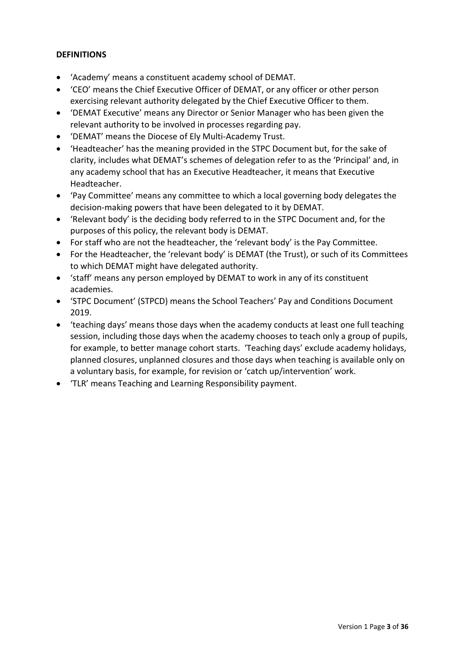### **DEFINITIONS**

- 'Academy' means a constituent academy school of DEMAT.
- 'CEO' means the Chief Executive Officer of DEMAT, or any officer or other person exercising relevant authority delegated by the Chief Executive Officer to them.
- 'DEMAT Executive' means any Director or Senior Manager who has been given the relevant authority to be involved in processes regarding pay.
- 'DEMAT' means the Diocese of Ely Multi-Academy Trust.
- 'Headteacher' has the meaning provided in the STPC Document but, for the sake of clarity, includes what DEMAT's schemes of delegation refer to as the 'Principal' and, in any academy school that has an Executive Headteacher, it means that Executive Headteacher.
- 'Pay Committee' means any committee to which a local governing body delegates the decision-making powers that have been delegated to it by DEMAT.
- 'Relevant body' is the deciding body referred to in the STPC Document and, for the purposes of this policy, the relevant body is DEMAT.
- For staff who are not the headteacher, the 'relevant body' is the Pay Committee.
- For the Headteacher, the 'relevant body' is DEMAT (the Trust), or such of its Committees to which DEMAT might have delegated authority.
- 'staff' means any person employed by DEMAT to work in any of its constituent academies.
- 'STPC Document' (STPCD) means the School Teachers' Pay and Conditions Document 2019.
- 'teaching days' means those days when the academy conducts at least one full teaching session, including those days when the academy chooses to teach only a group of pupils, for example, to better manage cohort starts. 'Teaching days' exclude academy holidays, planned closures, unplanned closures and those days when teaching is available only on a voluntary basis, for example, for revision or 'catch up/intervention' work.
- 'TLR' means Teaching and Learning Responsibility payment.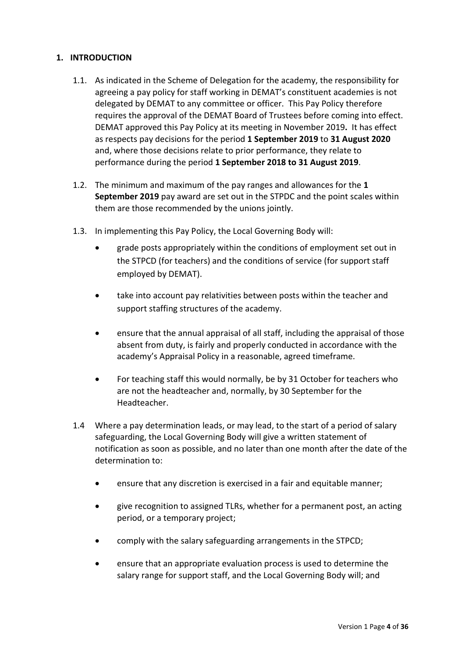### 1. INTRODUCTION

- 1.1. As indicated in the Scheme of Delegation for the academy, the responsibility for agreeing a pay policy for staff working in DEMAT's constituent academies is not delegated by DEMAT to any committee or officer. This Pay Policy therefore requires the approval of the DEMAT Board of Trustees before coming into effect. DEMAT approved this Pay Policy at its meeting in November 2019. It has effect as respects pay decisions for the period 1 September 2019 to 31 August 2020 and, where those decisions relate to prior performance, they relate to performance during the period 1 September 2018 to 31 August 2019.
- 1.2. The minimum and maximum of the pay ranges and allowances for the 1 September 2019 pay award are set out in the STPDC and the point scales within them are those recommended by the unions jointly.
- 1.3. In implementing this Pay Policy, the Local Governing Body will:
	- grade posts appropriately within the conditions of employment set out in the STPCD (for teachers) and the conditions of service (for support staff employed by DEMAT).
	- take into account pay relativities between posts within the teacher and support staffing structures of the academy.
	- ensure that the annual appraisal of all staff, including the appraisal of those absent from duty, is fairly and properly conducted in accordance with the academy's Appraisal Policy in a reasonable, agreed timeframe.
	- For teaching staff this would normally, be by 31 October for teachers who are not the headteacher and, normally, by 30 September for the Headteacher.
- 1.4 Where a pay determination leads, or may lead, to the start of a period of salary safeguarding, the Local Governing Body will give a written statement of notification as soon as possible, and no later than one month after the date of the determination to:
	- ensure that any discretion is exercised in a fair and equitable manner;
	- give recognition to assigned TLRs, whether for a permanent post, an acting period, or a temporary project;
	- comply with the salary safeguarding arrangements in the STPCD;
	- ensure that an appropriate evaluation process is used to determine the salary range for support staff, and the Local Governing Body will; and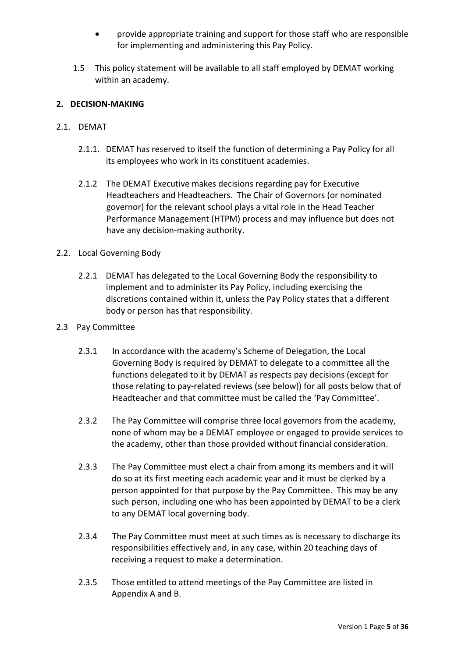- provide appropriate training and support for those staff who are responsible for implementing and administering this Pay Policy.
- 1.5 This policy statement will be available to all staff employed by DEMAT working within an academy.

### 2. DECISION-MAKING

### 2.1. DEMAT

- 2.1.1. DEMAT has reserved to itself the function of determining a Pay Policy for all its employees who work in its constituent academies.
- 2.1.2 The DEMAT Executive makes decisions regarding pay for Executive Headteachers and Headteachers. The Chair of Governors (or nominated governor) for the relevant school plays a vital role in the Head Teacher Performance Management (HTPM) process and may influence but does not have any decision-making authority.

### 2.2. Local Governing Body

2.2.1 DEMAT has delegated to the Local Governing Body the responsibility to implement and to administer its Pay Policy, including exercising the discretions contained within it, unless the Pay Policy states that a different body or person has that responsibility.

### 2.3 Pay Committee

- 2.3.1 In accordance with the academy's Scheme of Delegation, the Local Governing Body is required by DEMAT to delegate to a committee all the functions delegated to it by DEMAT as respects pay decisions (except for those relating to pay-related reviews (see below)) for all posts below that of Headteacher and that committee must be called the 'Pay Committee'.
- 2.3.2 The Pay Committee will comprise three local governors from the academy, none of whom may be a DEMAT employee or engaged to provide services to the academy, other than those provided without financial consideration.
- 2.3.3 The Pay Committee must elect a chair from among its members and it will do so at its first meeting each academic year and it must be clerked by a person appointed for that purpose by the Pay Committee. This may be any such person, including one who has been appointed by DEMAT to be a clerk to any DEMAT local governing body.
- 2.3.4 The Pay Committee must meet at such times as is necessary to discharge its responsibilities effectively and, in any case, within 20 teaching days of receiving a request to make a determination.
- 2.3.5 Those entitled to attend meetings of the Pay Committee are listed in Appendix A and B.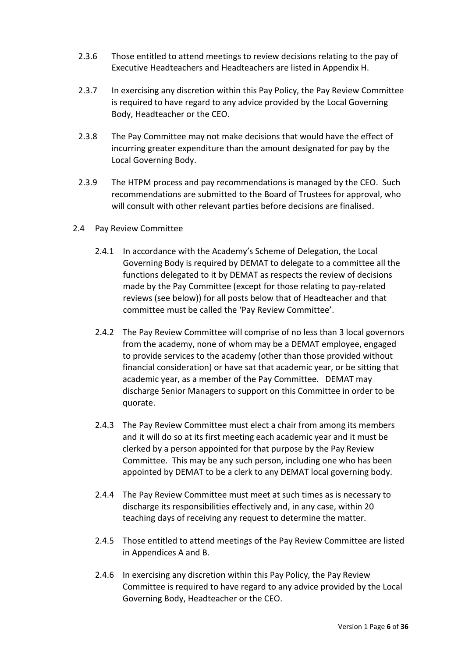- 2.3.6 Those entitled to attend meetings to review decisions relating to the pay of Executive Headteachers and Headteachers are listed in Appendix H.
- 2.3.7 In exercising any discretion within this Pay Policy, the Pay Review Committee is required to have regard to any advice provided by the Local Governing Body, Headteacher or the CEO.
- 2.3.8 The Pay Committee may not make decisions that would have the effect of incurring greater expenditure than the amount designated for pay by the Local Governing Body.
- 2.3.9 The HTPM process and pay recommendations is managed by the CEO. Such recommendations are submitted to the Board of Trustees for approval, who will consult with other relevant parties before decisions are finalised.
- 2.4 Pay Review Committee
	- 2.4.1 In accordance with the Academy's Scheme of Delegation, the Local Governing Body is required by DEMAT to delegate to a committee all the functions delegated to it by DEMAT as respects the review of decisions made by the Pay Committee (except for those relating to pay-related reviews (see below)) for all posts below that of Headteacher and that committee must be called the 'Pay Review Committee'.
	- 2.4.2 The Pay Review Committee will comprise of no less than 3 local governors from the academy, none of whom may be a DEMAT employee, engaged to provide services to the academy (other than those provided without financial consideration) or have sat that academic year, or be sitting that academic year, as a member of the Pay Committee. DEMAT may discharge Senior Managers to support on this Committee in order to be quorate.
	- 2.4.3 The Pay Review Committee must elect a chair from among its members and it will do so at its first meeting each academic year and it must be clerked by a person appointed for that purpose by the Pay Review Committee. This may be any such person, including one who has been appointed by DEMAT to be a clerk to any DEMAT local governing body.
	- 2.4.4 The Pay Review Committee must meet at such times as is necessary to discharge its responsibilities effectively and, in any case, within 20 teaching days of receiving any request to determine the matter.
	- 2.4.5 Those entitled to attend meetings of the Pay Review Committee are listed in Appendices A and B.
	- 2.4.6 In exercising any discretion within this Pay Policy, the Pay Review Committee is required to have regard to any advice provided by the Local Governing Body, Headteacher or the CEO.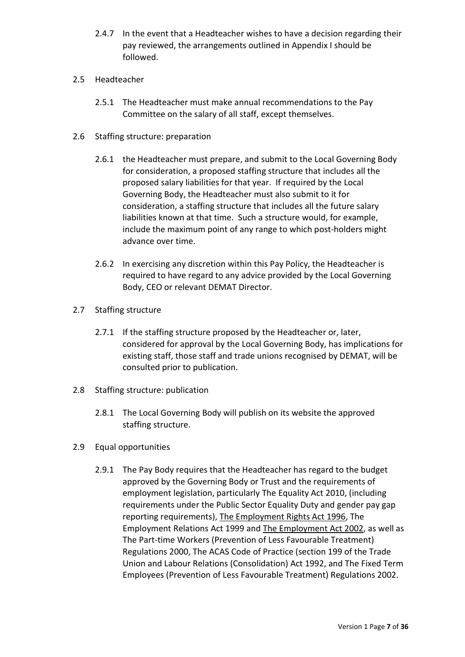2.4.7 In the event that a Headteacher wishes to have a decision regarding their pay reviewed, the arrangements outlined in Appendix I should be followed.

### 2.5 Headteacher

- 2.5.1 The Headteacher must make annual recommendations to the Pay Committee on the salary of all staff, except themselves.
- 2.6 Staffing structure: preparation
	- 2.6.1 the Headteacher must prepare, and submit to the Local Governing Body for consideration, a proposed staffing structure that includes all the proposed salary liabilities for that year. If required by the Local Governing Body, the Headteacher must also submit to it for consideration, a staffing structure that includes all the future salary liabilities known at that time. Such a structure would, for example, include the maximum point of any range to which post-holders might advance over time.
	- 2.6.2 In exercising any discretion within this Pay Policy, the Headteacher is required to have regard to any advice provided by the Local Governing Body, CEO or relevant DEMAT Director.
- 2.7 Staffing structure
	- 2.7.1 If the staffing structure proposed by the Headteacher or, later, considered for approval by the Local Governing Body, has implications for existing staff, those staff and trade unions recognised by DEMAT, will be consulted prior to publication.
- 2.8 Staffing structure: publication
	- 2.8.1 The Local Governing Body will publish on its website the approved staffing structure.
- 2.9 Equal opportunities
	- 2.9.1 The Pay Body requires that the Headteacher has regard to the budget approved by the Governing Body or Trust and the requirements of employment legislation, particularly The Equality Act 2010, (including requirements under the Public Sector Equality Duty and gender pay gap reporting requirements), The Employment Rights Act 1996, The Employment Relations Act 1999 and The Employment Act 2002, as well as The Part-time Workers (Prevention of Less Favourable Treatment) Regulations 2000, The ACAS Code of Practice (section 199 of the Trade Union and Labour Relations (Consolidation) Act 1992, and The Fixed Term Employees (Prevention of Less Favourable Treatment) Regulations 2002.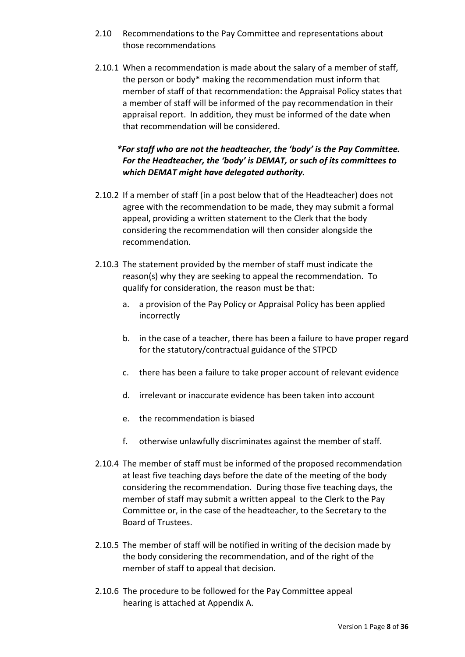- 2.10 Recommendations to the Pay Committee and representations about those recommendations
- 2.10.1 When a recommendation is made about the salary of a member of staff, the person or body\* making the recommendation must inform that member of staff of that recommendation: the Appraisal Policy states that a member of staff will be informed of the pay recommendation in their appraisal report. In addition, they must be informed of the date when that recommendation will be considered.

# \*For staff who are not the headteacher, the 'body' is the Pay Committee. For the Headteacher, the 'body' is DEMAT, or such of its committees to which DEMAT might have delegated authority.

- 2.10.2 If a member of staff (in a post below that of the Headteacher) does not agree with the recommendation to be made, they may submit a formal appeal, providing a written statement to the Clerk that the body considering the recommendation will then consider alongside the recommendation.
- 2.10.3 The statement provided by the member of staff must indicate the reason(s) why they are seeking to appeal the recommendation. To qualify for consideration, the reason must be that:
	- a. a provision of the Pay Policy or Appraisal Policy has been applied incorrectly
	- b. in the case of a teacher, there has been a failure to have proper regard for the statutory/contractual guidance of the STPCD
	- c. there has been a failure to take proper account of relevant evidence
	- d. irrelevant or inaccurate evidence has been taken into account
	- e. the recommendation is biased
	- f. otherwise unlawfully discriminates against the member of staff.
- 2.10.4 The member of staff must be informed of the proposed recommendation at least five teaching days before the date of the meeting of the body considering the recommendation. During those five teaching days, the member of staff may submit a written appeal to the Clerk to the Pay Committee or, in the case of the headteacher, to the Secretary to the Board of Trustees.
- 2.10.5 The member of staff will be notified in writing of the decision made by the body considering the recommendation, and of the right of the member of staff to appeal that decision.
- 2.10.6 The procedure to be followed for the Pay Committee appeal hearing is attached at Appendix A.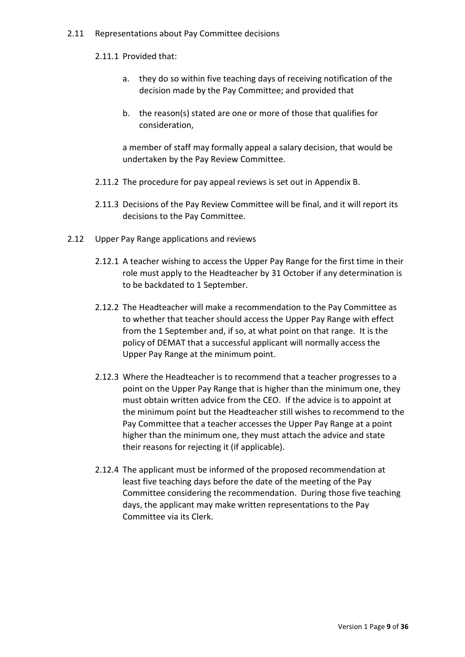#### 2.11 Representations about Pay Committee decisions

### 2.11.1 Provided that:

- a. they do so within five teaching days of receiving notification of the decision made by the Pay Committee; and provided that
- b. the reason(s) stated are one or more of those that qualifies for consideration,

a member of staff may formally appeal a salary decision, that would be undertaken by the Pay Review Committee.

- 2.11.2 The procedure for pay appeal reviews is set out in Appendix B.
- 2.11.3 Decisions of the Pay Review Committee will be final, and it will report its decisions to the Pay Committee.
- 2.12 Upper Pay Range applications and reviews
	- 2.12.1 A teacher wishing to access the Upper Pay Range for the first time in their role must apply to the Headteacher by 31 October if any determination is to be backdated to 1 September.
	- 2.12.2 The Headteacher will make a recommendation to the Pay Committee as to whether that teacher should access the Upper Pay Range with effect from the 1 September and, if so, at what point on that range. It is the policy of DEMAT that a successful applicant will normally access the Upper Pay Range at the minimum point.
	- 2.12.3 Where the Headteacher is to recommend that a teacher progresses to a point on the Upper Pay Range that is higher than the minimum one, they must obtain written advice from the CEO. If the advice is to appoint at the minimum point but the Headteacher still wishes to recommend to the Pay Committee that a teacher accesses the Upper Pay Range at a point higher than the minimum one, they must attach the advice and state their reasons for rejecting it (if applicable).
	- 2.12.4 The applicant must be informed of the proposed recommendation at least five teaching days before the date of the meeting of the Pay Committee considering the recommendation. During those five teaching days, the applicant may make written representations to the Pay Committee via its Clerk.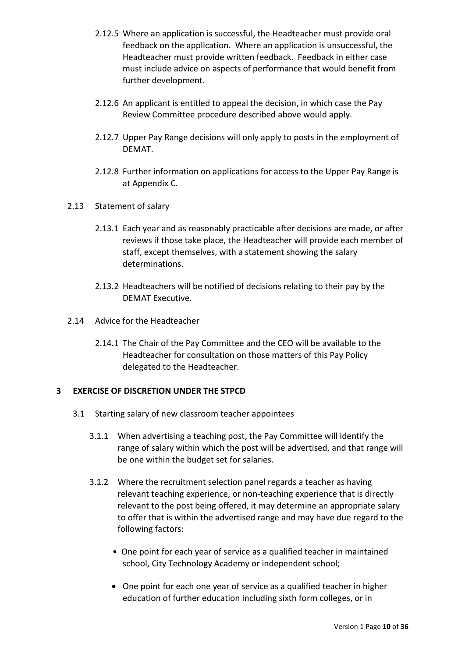- 2.12.5 Where an application is successful, the Headteacher must provide oral feedback on the application. Where an application is unsuccessful, the Headteacher must provide written feedback. Feedback in either case must include advice on aspects of performance that would benefit from further development.
- 2.12.6 An applicant is entitled to appeal the decision, in which case the Pay Review Committee procedure described above would apply.
- 2.12.7 Upper Pay Range decisions will only apply to posts in the employment of DEMAT.
- 2.12.8 Further information on applications for access to the Upper Pay Range is at Appendix C.
- 2.13 Statement of salary
	- 2.13.1 Each year and as reasonably practicable after decisions are made, or after reviews if those take place, the Headteacher will provide each member of staff, except themselves, with a statement showing the salary determinations.
	- 2.13.2 Headteachers will be notified of decisions relating to their pay by the DEMAT Executive.
- 2.14 Advice for the Headteacher
	- 2.14.1 The Chair of the Pay Committee and the CEO will be available to the Headteacher for consultation on those matters of this Pay Policy delegated to the Headteacher.

## 3 EXERCISE OF DISCRETION UNDER THE STPCD

- 3.1 Starting salary of new classroom teacher appointees
	- 3.1.1 When advertising a teaching post, the Pay Committee will identify the range of salary within which the post will be advertised, and that range will be one within the budget set for salaries.
	- 3.1.2 Where the recruitment selection panel regards a teacher as having relevant teaching experience, or non-teaching experience that is directly relevant to the post being offered, it may determine an appropriate salary to offer that is within the advertised range and may have due regard to the following factors:
		- One point for each year of service as a qualified teacher in maintained school, City Technology Academy or independent school;
		- One point for each one year of service as a qualified teacher in higher education of further education including sixth form colleges, or in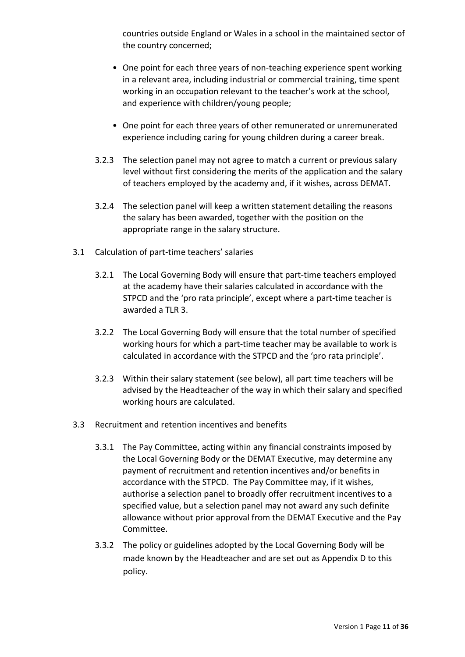countries outside England or Wales in a school in the maintained sector of the country concerned;

- One point for each three years of non-teaching experience spent working in a relevant area, including industrial or commercial training, time spent working in an occupation relevant to the teacher's work at the school, and experience with children/young people;
- One point for each three years of other remunerated or unremunerated experience including caring for young children during a career break.
- 3.2.3 The selection panel may not agree to match a current or previous salary level without first considering the merits of the application and the salary of teachers employed by the academy and, if it wishes, across DEMAT.
- 3.2.4 The selection panel will keep a written statement detailing the reasons the salary has been awarded, together with the position on the appropriate range in the salary structure.
- 3.1 Calculation of part-time teachers' salaries
	- 3.2.1 The Local Governing Body will ensure that part-time teachers employed at the academy have their salaries calculated in accordance with the STPCD and the 'pro rata principle', except where a part-time teacher is awarded a TLR 3.
	- 3.2.2 The Local Governing Body will ensure that the total number of specified working hours for which a part-time teacher may be available to work is calculated in accordance with the STPCD and the 'pro rata principle'.
	- 3.2.3 Within their salary statement (see below), all part time teachers will be advised by the Headteacher of the way in which their salary and specified working hours are calculated.
- 3.3 Recruitment and retention incentives and benefits
	- 3.3.1 The Pay Committee, acting within any financial constraints imposed by the Local Governing Body or the DEMAT Executive, may determine any payment of recruitment and retention incentives and/or benefits in accordance with the STPCD. The Pay Committee may, if it wishes, authorise a selection panel to broadly offer recruitment incentives to a specified value, but a selection panel may not award any such definite allowance without prior approval from the DEMAT Executive and the Pay Committee.
	- 3.3.2 The policy or guidelines adopted by the Local Governing Body will be made known by the Headteacher and are set out as Appendix D to this policy.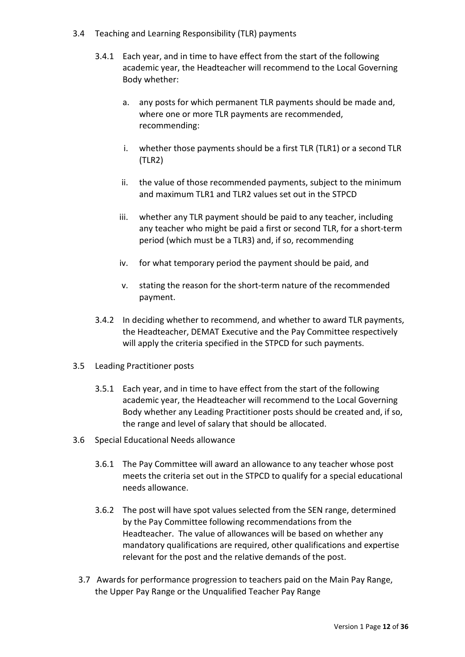- 3.4 Teaching and Learning Responsibility (TLR) payments
	- 3.4.1 Each year, and in time to have effect from the start of the following academic year, the Headteacher will recommend to the Local Governing Body whether:
		- a. any posts for which permanent TLR payments should be made and, where one or more TLR payments are recommended, recommending:
		- i. whether those payments should be a first TLR (TLR1) or a second TLR (TLR2)
		- ii. the value of those recommended payments, subject to the minimum and maximum TLR1 and TLR2 values set out in the STPCD
		- iii. whether any TLR payment should be paid to any teacher, including any teacher who might be paid a first or second TLR, for a short-term period (which must be a TLR3) and, if so, recommending
		- iv. for what temporary period the payment should be paid, and
		- v. stating the reason for the short-term nature of the recommended payment.
	- 3.4.2 In deciding whether to recommend, and whether to award TLR payments, the Headteacher, DEMAT Executive and the Pay Committee respectively will apply the criteria specified in the STPCD for such payments.
- 3.5 Leading Practitioner posts
	- 3.5.1 Each year, and in time to have effect from the start of the following academic year, the Headteacher will recommend to the Local Governing Body whether any Leading Practitioner posts should be created and, if so, the range and level of salary that should be allocated.
- 3.6 Special Educational Needs allowance
	- 3.6.1 The Pay Committee will award an allowance to any teacher whose post meets the criteria set out in the STPCD to qualify for a special educational needs allowance.
	- 3.6.2 The post will have spot values selected from the SEN range, determined by the Pay Committee following recommendations from the Headteacher. The value of allowances will be based on whether any mandatory qualifications are required, other qualifications and expertise relevant for the post and the relative demands of the post.
	- 3.7 Awards for performance progression to teachers paid on the Main Pay Range, the Upper Pay Range or the Unqualified Teacher Pay Range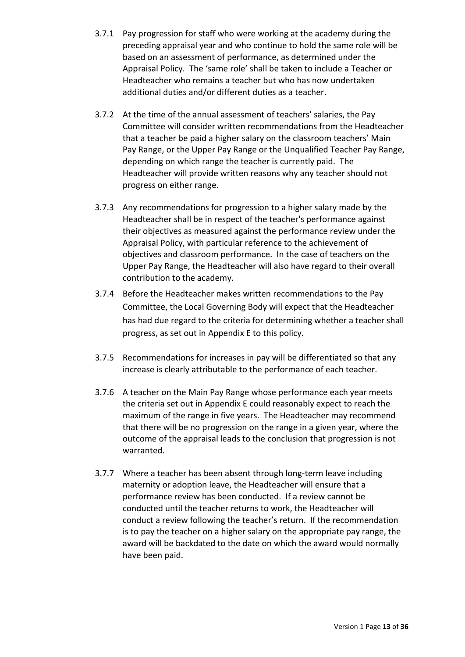- 3.7.1 Pay progression for staff who were working at the academy during the preceding appraisal year and who continue to hold the same role will be based on an assessment of performance, as determined under the Appraisal Policy. The 'same role' shall be taken to include a Teacher or Headteacher who remains a teacher but who has now undertaken additional duties and/or different duties as a teacher.
- 3.7.2 At the time of the annual assessment of teachers' salaries, the Pay Committee will consider written recommendations from the Headteacher that a teacher be paid a higher salary on the classroom teachers' Main Pay Range, or the Upper Pay Range or the Unqualified Teacher Pay Range, depending on which range the teacher is currently paid. The Headteacher will provide written reasons why any teacher should not progress on either range.
- 3.7.3 Any recommendations for progression to a higher salary made by the Headteacher shall be in respect of the teacher's performance against their objectives as measured against the performance review under the Appraisal Policy, with particular reference to the achievement of objectives and classroom performance. In the case of teachers on the Upper Pay Range, the Headteacher will also have regard to their overall contribution to the academy.
- 3.7.4 Before the Headteacher makes written recommendations to the Pay Committee, the Local Governing Body will expect that the Headteacher has had due regard to the criteria for determining whether a teacher shall progress, as set out in Appendix E to this policy.
- 3.7.5 Recommendations for increases in pay will be differentiated so that any increase is clearly attributable to the performance of each teacher.
- 3.7.6 A teacher on the Main Pay Range whose performance each year meets the criteria set out in Appendix E could reasonably expect to reach the maximum of the range in five years. The Headteacher may recommend that there will be no progression on the range in a given year, where the outcome of the appraisal leads to the conclusion that progression is not warranted.
- 3.7.7 Where a teacher has been absent through long-term leave including maternity or adoption leave, the Headteacher will ensure that a performance review has been conducted. If a review cannot be conducted until the teacher returns to work, the Headteacher will conduct a review following the teacher's return. If the recommendation is to pay the teacher on a higher salary on the appropriate pay range, the award will be backdated to the date on which the award would normally have been paid.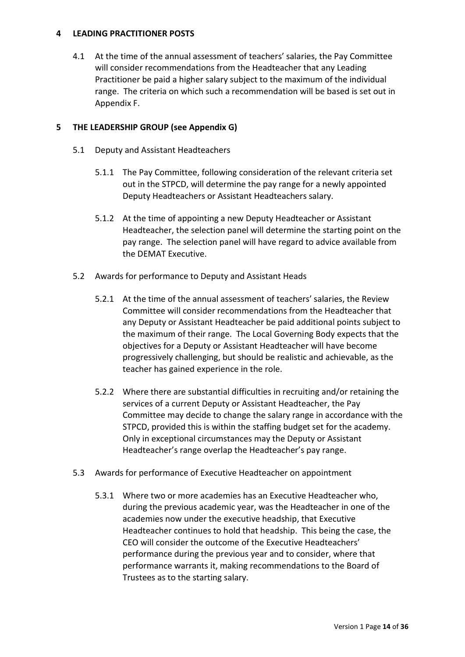### 4 LEADING PRACTITIONER POSTS

4.1 At the time of the annual assessment of teachers' salaries, the Pay Committee will consider recommendations from the Headteacher that any Leading Practitioner be paid a higher salary subject to the maximum of the individual range. The criteria on which such a recommendation will be based is set out in Appendix F.

## 5 THE LEADERSHIP GROUP (see Appendix G)

- 5.1 Deputy and Assistant Headteachers
	- 5.1.1 The Pay Committee, following consideration of the relevant criteria set out in the STPCD, will determine the pay range for a newly appointed Deputy Headteachers or Assistant Headteachers salary.
	- 5.1.2 At the time of appointing a new Deputy Headteacher or Assistant Headteacher, the selection panel will determine the starting point on the pay range. The selection panel will have regard to advice available from the DEMAT Executive.
- 5.2 Awards for performance to Deputy and Assistant Heads
	- 5.2.1 At the time of the annual assessment of teachers' salaries, the Review Committee will consider recommendations from the Headteacher that any Deputy or Assistant Headteacher be paid additional points subject to the maximum of their range. The Local Governing Body expects that the objectives for a Deputy or Assistant Headteacher will have become progressively challenging, but should be realistic and achievable, as the teacher has gained experience in the role.
	- 5.2.2 Where there are substantial difficulties in recruiting and/or retaining the services of a current Deputy or Assistant Headteacher, the Pay Committee may decide to change the salary range in accordance with the STPCD, provided this is within the staffing budget set for the academy. Only in exceptional circumstances may the Deputy or Assistant Headteacher's range overlap the Headteacher's pay range.
- 5.3 Awards for performance of Executive Headteacher on appointment
	- 5.3.1 Where two or more academies has an Executive Headteacher who, during the previous academic year, was the Headteacher in one of the academies now under the executive headship, that Executive Headteacher continues to hold that headship. This being the case, the CEO will consider the outcome of the Executive Headteachers' performance during the previous year and to consider, where that performance warrants it, making recommendations to the Board of Trustees as to the starting salary.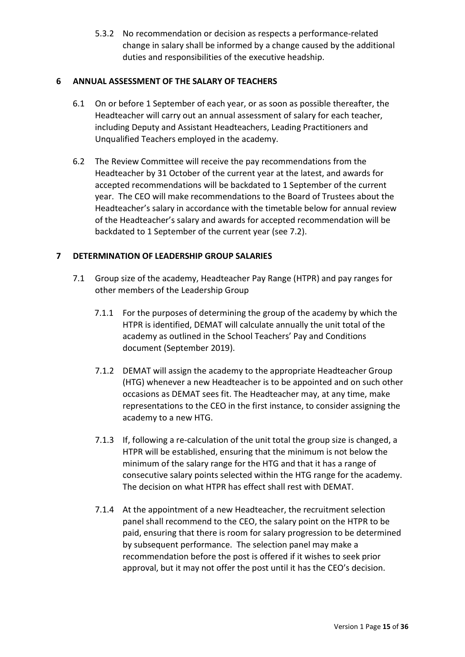5.3.2 No recommendation or decision as respects a performance-related change in salary shall be informed by a change caused by the additional duties and responsibilities of the executive headship.

### 6 ANNUAL ASSESSMENT OF THE SALARY OF TEACHERS

- 6.1 On or before 1 September of each year, or as soon as possible thereafter, the Headteacher will carry out an annual assessment of salary for each teacher, including Deputy and Assistant Headteachers, Leading Practitioners and Unqualified Teachers employed in the academy.
- 6.2 The Review Committee will receive the pay recommendations from the Headteacher by 31 October of the current year at the latest, and awards for accepted recommendations will be backdated to 1 September of the current year. The CEO will make recommendations to the Board of Trustees about the Headteacher's salary in accordance with the timetable below for annual review of the Headteacher's salary and awards for accepted recommendation will be backdated to 1 September of the current year (see 7.2).

## 7 DETERMINATION OF LEADERSHIP GROUP SALARIES

- 7.1 Group size of the academy, Headteacher Pay Range (HTPR) and pay ranges for other members of the Leadership Group
	- 7.1.1 For the purposes of determining the group of the academy by which the HTPR is identified, DEMAT will calculate annually the unit total of the academy as outlined in the School Teachers' Pay and Conditions document (September 2019).
	- 7.1.2 DEMAT will assign the academy to the appropriate Headteacher Group (HTG) whenever a new Headteacher is to be appointed and on such other occasions as DEMAT sees fit. The Headteacher may, at any time, make representations to the CEO in the first instance, to consider assigning the academy to a new HTG.
	- 7.1.3 If, following a re-calculation of the unit total the group size is changed, a HTPR will be established, ensuring that the minimum is not below the minimum of the salary range for the HTG and that it has a range of consecutive salary points selected within the HTG range for the academy. The decision on what HTPR has effect shall rest with DEMAT.
	- 7.1.4 At the appointment of a new Headteacher, the recruitment selection panel shall recommend to the CEO, the salary point on the HTPR to be paid, ensuring that there is room for salary progression to be determined by subsequent performance. The selection panel may make a recommendation before the post is offered if it wishes to seek prior approval, but it may not offer the post until it has the CEO's decision.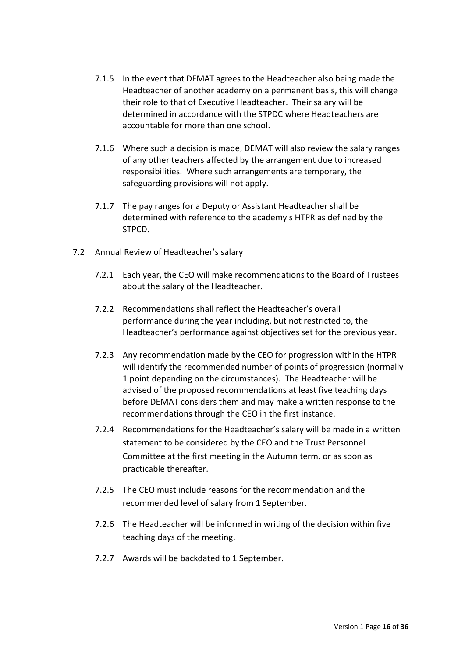- 7.1.5 In the event that DEMAT agrees to the Headteacher also being made the Headteacher of another academy on a permanent basis, this will change their role to that of Executive Headteacher. Their salary will be determined in accordance with the STPDC where Headteachers are accountable for more than one school.
- 7.1.6 Where such a decision is made, DEMAT will also review the salary ranges of any other teachers affected by the arrangement due to increased responsibilities. Where such arrangements are temporary, the safeguarding provisions will not apply.
- 7.1.7 The pay ranges for a Deputy or Assistant Headteacher shall be determined with reference to the academy's HTPR as defined by the STPCD.
- 7.2 Annual Review of Headteacher's salary
	- 7.2.1 Each year, the CEO will make recommendations to the Board of Trustees about the salary of the Headteacher.
	- 7.2.2 Recommendations shall reflect the Headteacher's overall performance during the year including, but not restricted to, the Headteacher's performance against objectives set for the previous year.
	- 7.2.3 Any recommendation made by the CEO for progression within the HTPR will identify the recommended number of points of progression (normally 1 point depending on the circumstances). The Headteacher will be advised of the proposed recommendations at least five teaching days before DEMAT considers them and may make a written response to the recommendations through the CEO in the first instance.
	- 7.2.4 Recommendations for the Headteacher's salary will be made in a written statement to be considered by the CEO and the Trust Personnel Committee at the first meeting in the Autumn term, or as soon as practicable thereafter.
	- 7.2.5 The CEO must include reasons for the recommendation and the recommended level of salary from 1 September.
	- 7.2.6 The Headteacher will be informed in writing of the decision within five teaching days of the meeting.
	- 7.2.7 Awards will be backdated to 1 September.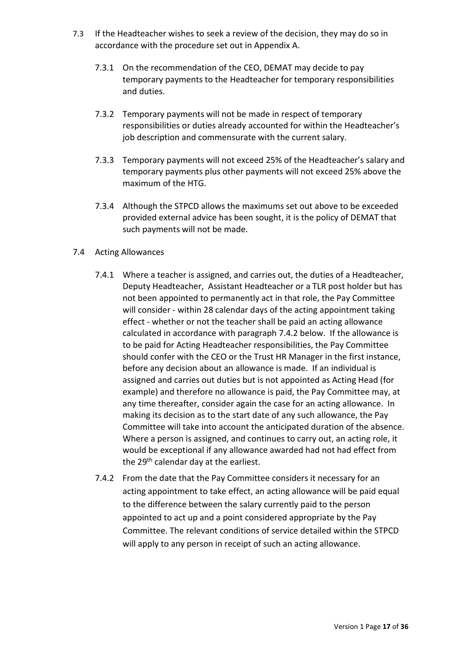- 7.3 If the Headteacher wishes to seek a review of the decision, they may do so in accordance with the procedure set out in Appendix A.
	- 7.3.1 On the recommendation of the CEO, DEMAT may decide to pay temporary payments to the Headteacher for temporary responsibilities and duties.
	- 7.3.2 Temporary payments will not be made in respect of temporary responsibilities or duties already accounted for within the Headteacher's job description and commensurate with the current salary.
	- 7.3.3 Temporary payments will not exceed 25% of the Headteacher's salary and temporary payments plus other payments will not exceed 25% above the maximum of the HTG.
	- 7.3.4 Although the STPCD allows the maximums set out above to be exceeded provided external advice has been sought, it is the policy of DEMAT that such payments will not be made.
- 7.4 Acting Allowances
	- 7.4.1 Where a teacher is assigned, and carries out, the duties of a Headteacher, Deputy Headteacher, Assistant Headteacher or a TLR post holder but has not been appointed to permanently act in that role, the Pay Committee will consider - within 28 calendar days of the acting appointment taking effect - whether or not the teacher shall be paid an acting allowance calculated in accordance with paragraph 7.4.2 below. If the allowance is to be paid for Acting Headteacher responsibilities, the Pay Committee should confer with the CEO or the Trust HR Manager in the first instance, before any decision about an allowance is made. If an individual is assigned and carries out duties but is not appointed as Acting Head (for example) and therefore no allowance is paid, the Pay Committee may, at any time thereafter, consider again the case for an acting allowance. In making its decision as to the start date of any such allowance, the Pay Committee will take into account the anticipated duration of the absence. Where a person is assigned, and continues to carry out, an acting role, it would be exceptional if any allowance awarded had not had effect from the 29<sup>th</sup> calendar day at the earliest.
	- 7.4.2 From the date that the Pay Committee considers it necessary for an acting appointment to take effect, an acting allowance will be paid equal to the difference between the salary currently paid to the person appointed to act up and a point considered appropriate by the Pay Committee. The relevant conditions of service detailed within the STPCD will apply to any person in receipt of such an acting allowance.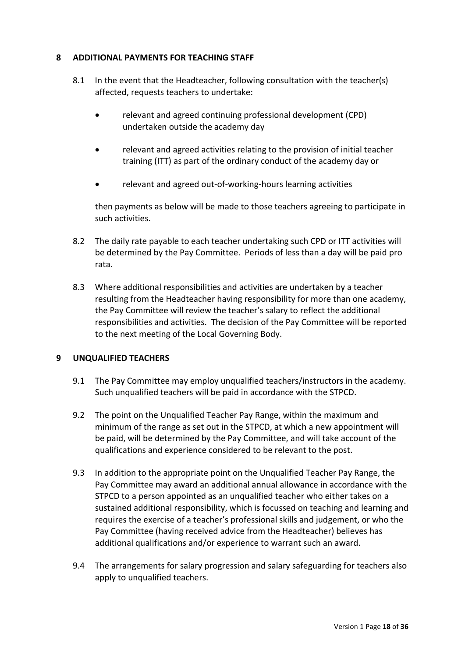### 8 ADDITIONAL PAYMENTS FOR TEACHING STAFF

- 8.1 In the event that the Headteacher, following consultation with the teacher(s) affected, requests teachers to undertake:
	- relevant and agreed continuing professional development (CPD) undertaken outside the academy day
	- relevant and agreed activities relating to the provision of initial teacher training (ITT) as part of the ordinary conduct of the academy day or
	- relevant and agreed out-of-working-hours learning activities

then payments as below will be made to those teachers agreeing to participate in such activities.

- 8.2 The daily rate payable to each teacher undertaking such CPD or ITT activities will be determined by the Pay Committee. Periods of less than a day will be paid pro rata.
- 8.3 Where additional responsibilities and activities are undertaken by a teacher resulting from the Headteacher having responsibility for more than one academy, the Pay Committee will review the teacher's salary to reflect the additional responsibilities and activities. The decision of the Pay Committee will be reported to the next meeting of the Local Governing Body.

### 9 UNQUALIFIED TEACHERS

- 9.1 The Pay Committee may employ unqualified teachers/instructors in the academy. Such unqualified teachers will be paid in accordance with the STPCD.
- 9.2 The point on the Unqualified Teacher Pay Range, within the maximum and minimum of the range as set out in the STPCD, at which a new appointment will be paid, will be determined by the Pay Committee, and will take account of the qualifications and experience considered to be relevant to the post.
- 9.3 In addition to the appropriate point on the Unqualified Teacher Pay Range, the Pay Committee may award an additional annual allowance in accordance with the STPCD to a person appointed as an unqualified teacher who either takes on a sustained additional responsibility, which is focussed on teaching and learning and requires the exercise of a teacher's professional skills and judgement, or who the Pay Committee (having received advice from the Headteacher) believes has additional qualifications and/or experience to warrant such an award.
- 9.4 The arrangements for salary progression and salary safeguarding for teachers also apply to unqualified teachers.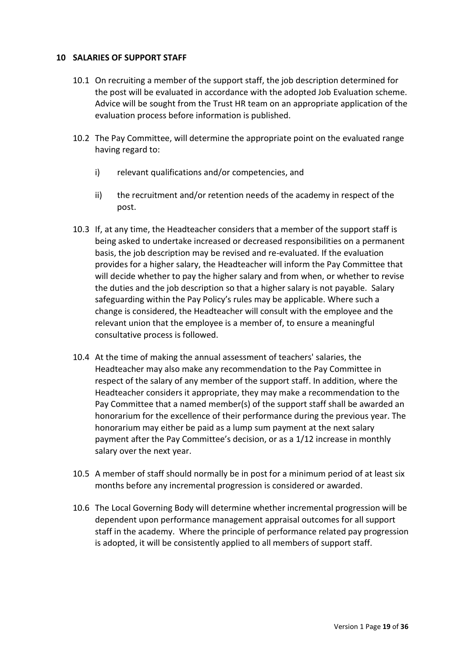### 10 SALARIES OF SUPPORT STAFF

- 10.1 On recruiting a member of the support staff, the job description determined for the post will be evaluated in accordance with the adopted Job Evaluation scheme. Advice will be sought from the Trust HR team on an appropriate application of the evaluation process before information is published.
- 10.2 The Pay Committee, will determine the appropriate point on the evaluated range having regard to:
	- i) relevant qualifications and/or competencies, and
	- ii) the recruitment and/or retention needs of the academy in respect of the post.
- 10.3 If, at any time, the Headteacher considers that a member of the support staff is being asked to undertake increased or decreased responsibilities on a permanent basis, the job description may be revised and re-evaluated. If the evaluation provides for a higher salary, the Headteacher will inform the Pay Committee that will decide whether to pay the higher salary and from when, or whether to revise the duties and the job description so that a higher salary is not payable. Salary safeguarding within the Pay Policy's rules may be applicable. Where such a change is considered, the Headteacher will consult with the employee and the relevant union that the employee is a member of, to ensure a meaningful consultative process is followed.
- 10.4 At the time of making the annual assessment of teachers' salaries, the Headteacher may also make any recommendation to the Pay Committee in respect of the salary of any member of the support staff. In addition, where the Headteacher considers it appropriate, they may make a recommendation to the Pay Committee that a named member(s) of the support staff shall be awarded an honorarium for the excellence of their performance during the previous year. The honorarium may either be paid as a lump sum payment at the next salary payment after the Pay Committee's decision, or as a 1/12 increase in monthly salary over the next year.
- 10.5 A member of staff should normally be in post for a minimum period of at least six months before any incremental progression is considered or awarded.
- 10.6 The Local Governing Body will determine whether incremental progression will be dependent upon performance management appraisal outcomes for all support staff in the academy. Where the principle of performance related pay progression is adopted, it will be consistently applied to all members of support staff.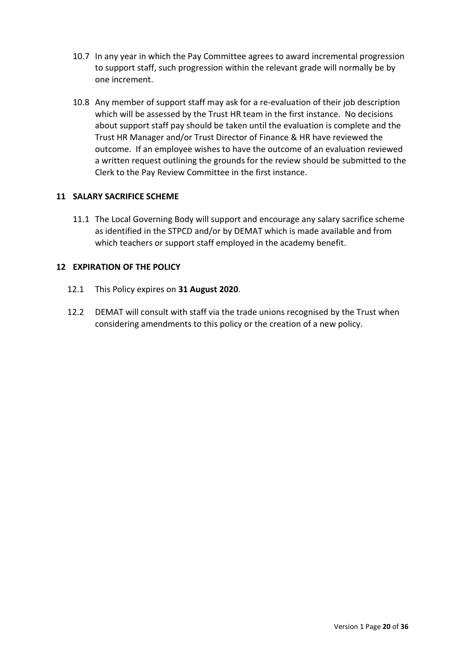- 10.7 In any year in which the Pay Committee agrees to award incremental progression to support staff, such progression within the relevant grade will normally be by one increment.
- 10.8 Any member of support staff may ask for a re-evaluation of their job description which will be assessed by the Trust HR team in the first instance. No decisions about support staff pay should be taken until the evaluation is complete and the Trust HR Manager and/or Trust Director of Finance & HR have reviewed the outcome. If an employee wishes to have the outcome of an evaluation reviewed a written request outlining the grounds for the review should be submitted to the Clerk to the Pay Review Committee in the first instance.

### 11 SALARY SACRIFICE SCHEME

11.1 The Local Governing Body will support and encourage any salary sacrifice scheme as identified in the STPCD and/or by DEMAT which is made available and from which teachers or support staff employed in the academy benefit.

### 12 EXPIRATION OF THE POLICY

- 12.1 This Policy expires on 31 August 2020.
- 12.2 DEMAT will consult with staff via the trade unions recognised by the Trust when considering amendments to this policy or the creation of a new policy.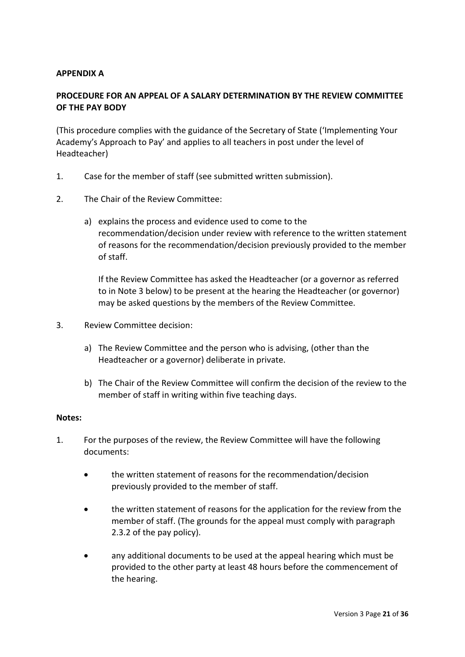### APPENDIX A

## PROCEDURE FOR AN APPEAL OF A SALARY DETERMINATION BY THE REVIEW COMMITTEE OF THE PAY BODY

(This procedure complies with the guidance of the Secretary of State ('Implementing Your Academy's Approach to Pay' and applies to all teachers in post under the level of Headteacher)

- 1. Case for the member of staff (see submitted written submission).
- 2. The Chair of the Review Committee:
	- a) explains the process and evidence used to come to the recommendation/decision under review with reference to the written statement of reasons for the recommendation/decision previously provided to the member of staff.

If the Review Committee has asked the Headteacher (or a governor as referred to in Note 3 below) to be present at the hearing the Headteacher (or governor) may be asked questions by the members of the Review Committee.

- 3. Review Committee decision:
	- a) The Review Committee and the person who is advising, (other than the Headteacher or a governor) deliberate in private.
	- b) The Chair of the Review Committee will confirm the decision of the review to the member of staff in writing within five teaching days.

#### Notes:

- 1. For the purposes of the review, the Review Committee will have the following documents:
	- the written statement of reasons for the recommendation/decision previously provided to the member of staff.
	- the written statement of reasons for the application for the review from the member of staff. (The grounds for the appeal must comply with paragraph 2.3.2 of the pay policy).
	- any additional documents to be used at the appeal hearing which must be provided to the other party at least 48 hours before the commencement of the hearing.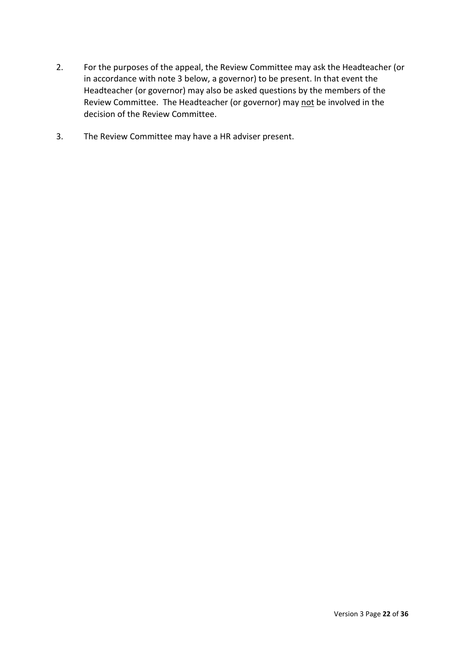- 2. For the purposes of the appeal, the Review Committee may ask the Headteacher (or in accordance with note 3 below, a governor) to be present. In that event the Headteacher (or governor) may also be asked questions by the members of the Review Committee. The Headteacher (or governor) may not be involved in the decision of the Review Committee.
- 3. The Review Committee may have a HR adviser present.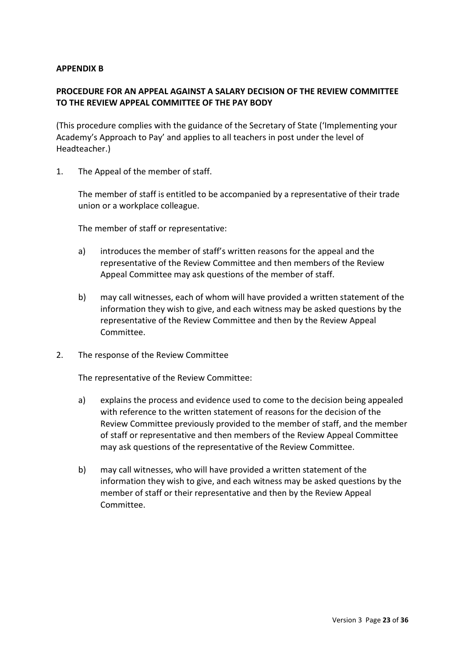#### APPENDIX B

## PROCEDURE FOR AN APPEAL AGAINST A SALARY DECISION OF THE REVIEW COMMITTEE TO THE REVIEW APPEAL COMMITTEE OF THE PAY BODY

(This procedure complies with the guidance of the Secretary of State ('Implementing your Academy's Approach to Pay' and applies to all teachers in post under the level of Headteacher.)

1. The Appeal of the member of staff.

The member of staff is entitled to be accompanied by a representative of their trade union or a workplace colleague.

The member of staff or representative:

- a) introduces the member of staff's written reasons for the appeal and the representative of the Review Committee and then members of the Review Appeal Committee may ask questions of the member of staff.
- b) may call witnesses, each of whom will have provided a written statement of the information they wish to give, and each witness may be asked questions by the representative of the Review Committee and then by the Review Appeal Committee.
- 2. The response of the Review Committee

The representative of the Review Committee:

- a) explains the process and evidence used to come to the decision being appealed with reference to the written statement of reasons for the decision of the Review Committee previously provided to the member of staff, and the member of staff or representative and then members of the Review Appeal Committee may ask questions of the representative of the Review Committee.
- b) may call witnesses, who will have provided a written statement of the information they wish to give, and each witness may be asked questions by the member of staff or their representative and then by the Review Appeal Committee.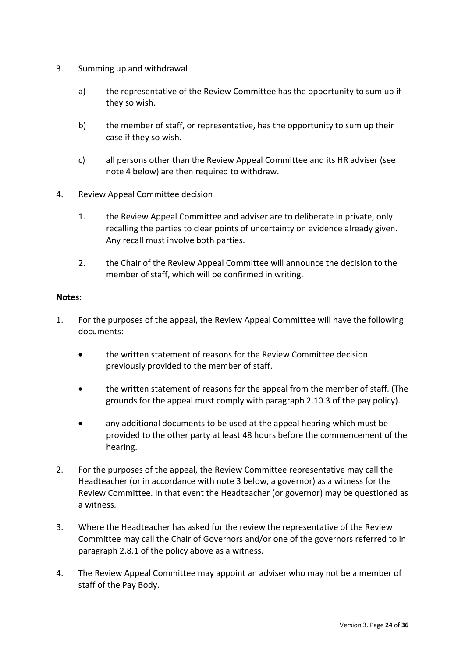- 3. Summing up and withdrawal
	- a) the representative of the Review Committee has the opportunity to sum up if they so wish.
	- b) the member of staff, or representative, has the opportunity to sum up their case if they so wish.
	- c) all persons other than the Review Appeal Committee and its HR adviser (see note 4 below) are then required to withdraw.
- 4. Review Appeal Committee decision
	- 1. the Review Appeal Committee and adviser are to deliberate in private, only recalling the parties to clear points of uncertainty on evidence already given. Any recall must involve both parties.
	- 2. the Chair of the Review Appeal Committee will announce the decision to the member of staff, which will be confirmed in writing.

### Notes:

- 1. For the purposes of the appeal, the Review Appeal Committee will have the following documents:
	- the written statement of reasons for the Review Committee decision previously provided to the member of staff.
	- the written statement of reasons for the appeal from the member of staff. (The grounds for the appeal must comply with paragraph 2.10.3 of the pay policy).
	- any additional documents to be used at the appeal hearing which must be provided to the other party at least 48 hours before the commencement of the hearing.
- 2. For the purposes of the appeal, the Review Committee representative may call the Headteacher (or in accordance with note 3 below, a governor) as a witness for the Review Committee. In that event the Headteacher (or governor) may be questioned as a witness.
- 3. Where the Headteacher has asked for the review the representative of the Review Committee may call the Chair of Governors and/or one of the governors referred to in paragraph 2.8.1 of the policy above as a witness.
- 4. The Review Appeal Committee may appoint an adviser who may not be a member of staff of the Pay Body.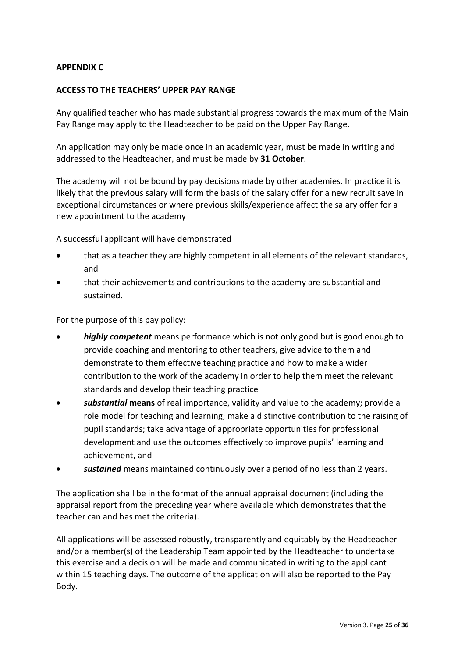### APPENDIX C

### ACCESS TO THE TEACHERS' UPPER PAY RANGE

Any qualified teacher who has made substantial progress towards the maximum of the Main Pay Range may apply to the Headteacher to be paid on the Upper Pay Range.

An application may only be made once in an academic year, must be made in writing and addressed to the Headteacher, and must be made by 31 October.

The academy will not be bound by pay decisions made by other academies. In practice it is likely that the previous salary will form the basis of the salary offer for a new recruit save in exceptional circumstances or where previous skills/experience affect the salary offer for a new appointment to the academy

A successful applicant will have demonstrated

- that as a teacher they are highly competent in all elements of the relevant standards, and
- that their achievements and contributions to the academy are substantial and sustained.

For the purpose of this pay policy:

- highly competent means performance which is not only good but is good enough to provide coaching and mentoring to other teachers, give advice to them and demonstrate to them effective teaching practice and how to make a wider contribution to the work of the academy in order to help them meet the relevant standards and develop their teaching practice
- substantial means of real importance, validity and value to the academy; provide a role model for teaching and learning; make a distinctive contribution to the raising of pupil standards; take advantage of appropriate opportunities for professional development and use the outcomes effectively to improve pupils' learning and achievement, and
- sustained means maintained continuously over a period of no less than 2 years.

The application shall be in the format of the annual appraisal document (including the appraisal report from the preceding year where available which demonstrates that the teacher can and has met the criteria).

All applications will be assessed robustly, transparently and equitably by the Headteacher and/or a member(s) of the Leadership Team appointed by the Headteacher to undertake this exercise and a decision will be made and communicated in writing to the applicant within 15 teaching days. The outcome of the application will also be reported to the Pay Body.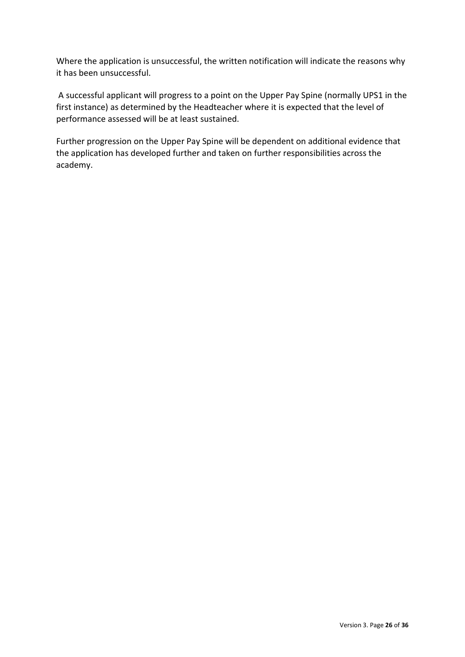Where the application is unsuccessful, the written notification will indicate the reasons why it has been unsuccessful.

 A successful applicant will progress to a point on the Upper Pay Spine (normally UPS1 in the first instance) as determined by the Headteacher where it is expected that the level of performance assessed will be at least sustained.

Further progression on the Upper Pay Spine will be dependent on additional evidence that the application has developed further and taken on further responsibilities across the academy.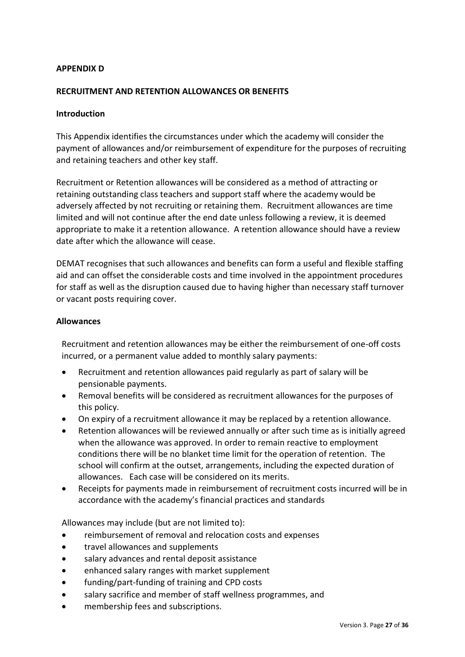#### APPENDIX D

#### RECRUITMENT AND RETENTION ALLOWANCES OR BENEFITS

#### Introduction

This Appendix identifies the circumstances under which the academy will consider the payment of allowances and/or reimbursement of expenditure for the purposes of recruiting and retaining teachers and other key staff.

Recruitment or Retention allowances will be considered as a method of attracting or retaining outstanding class teachers and support staff where the academy would be adversely affected by not recruiting or retaining them. Recruitment allowances are time limited and will not continue after the end date unless following a review, it is deemed appropriate to make it a retention allowance. A retention allowance should have a review date after which the allowance will cease.

DEMAT recognises that such allowances and benefits can form a useful and flexible staffing aid and can offset the considerable costs and time involved in the appointment procedures for staff as well as the disruption caused due to having higher than necessary staff turnover or vacant posts requiring cover.

#### Allowances

Recruitment and retention allowances may be either the reimbursement of one-off costs incurred, or a permanent value added to monthly salary payments:

- Recruitment and retention allowances paid regularly as part of salary will be pensionable payments.
- Removal benefits will be considered as recruitment allowances for the purposes of this policy.
- On expiry of a recruitment allowance it may be replaced by a retention allowance.
- Retention allowances will be reviewed annually or after such time as is initially agreed when the allowance was approved. In order to remain reactive to employment conditions there will be no blanket time limit for the operation of retention. The school will confirm at the outset, arrangements, including the expected duration of allowances. Each case will be considered on its merits.
- Receipts for payments made in reimbursement of recruitment costs incurred will be in accordance with the academy's financial practices and standards

Allowances may include (but are not limited to):

- reimbursement of removal and relocation costs and expenses
- travel allowances and supplements
- salary advances and rental deposit assistance
- enhanced salary ranges with market supplement
- funding/part-funding of training and CPD costs
- salary sacrifice and member of staff wellness programmes, and
- membership fees and subscriptions.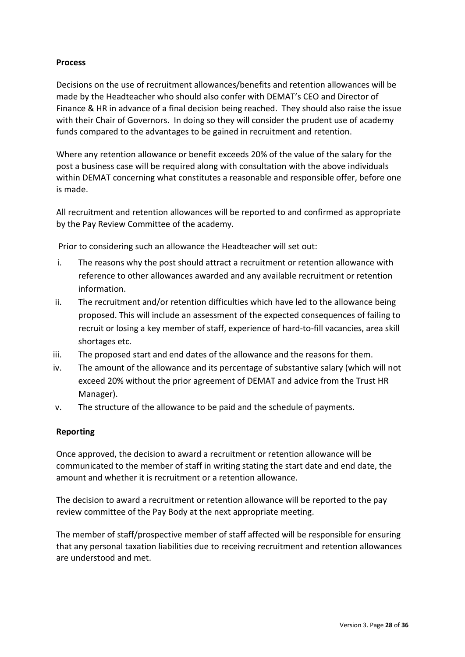### Process

Decisions on the use of recruitment allowances/benefits and retention allowances will be made by the Headteacher who should also confer with DEMAT's CEO and Director of Finance & HR in advance of a final decision being reached. They should also raise the issue with their Chair of Governors. In doing so they will consider the prudent use of academy funds compared to the advantages to be gained in recruitment and retention.

Where any retention allowance or benefit exceeds 20% of the value of the salary for the post a business case will be required along with consultation with the above individuals within DEMAT concerning what constitutes a reasonable and responsible offer, before one is made.

All recruitment and retention allowances will be reported to and confirmed as appropriate by the Pay Review Committee of the academy.

Prior to considering such an allowance the Headteacher will set out:

- i. The reasons why the post should attract a recruitment or retention allowance with reference to other allowances awarded and any available recruitment or retention information.
- ii. The recruitment and/or retention difficulties which have led to the allowance being proposed. This will include an assessment of the expected consequences of failing to recruit or losing a key member of staff, experience of hard-to-fill vacancies, area skill shortages etc.
- iii. The proposed start and end dates of the allowance and the reasons for them.
- iv. The amount of the allowance and its percentage of substantive salary (which will not exceed 20% without the prior agreement of DEMAT and advice from the Trust HR Manager).
- v. The structure of the allowance to be paid and the schedule of payments.

## Reporting

Once approved, the decision to award a recruitment or retention allowance will be communicated to the member of staff in writing stating the start date and end date, the amount and whether it is recruitment or a retention allowance.

The decision to award a recruitment or retention allowance will be reported to the pay review committee of the Pay Body at the next appropriate meeting.

The member of staff/prospective member of staff affected will be responsible for ensuring that any personal taxation liabilities due to receiving recruitment and retention allowances are understood and met.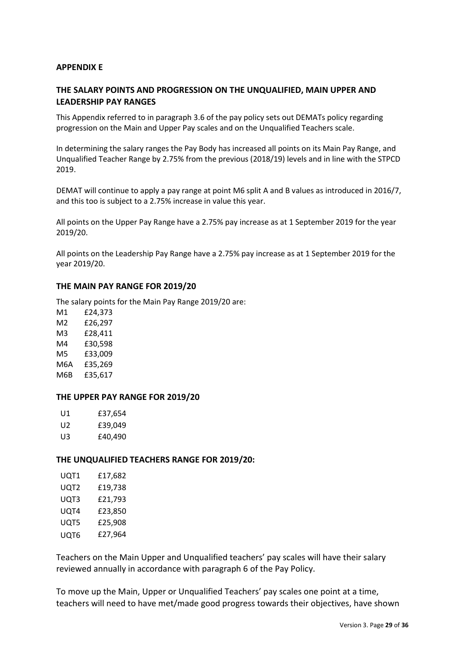#### APPENDIX E

### THE SALARY POINTS AND PROGRESSION ON THE UNQUALIFIED, MAIN UPPER AND LEADERSHIP PAY RANGES

This Appendix referred to in paragraph 3.6 of the pay policy sets out DEMATs policy regarding progression on the Main and Upper Pay scales and on the Unqualified Teachers scale.

In determining the salary ranges the Pay Body has increased all points on its Main Pay Range, and Unqualified Teacher Range by 2.75% from the previous (2018/19) levels and in line with the STPCD 2019.

DEMAT will continue to apply a pay range at point M6 split A and B values as introduced in 2016/7, and this too is subject to a 2.75% increase in value this year.

All points on the Upper Pay Range have a 2.75% pay increase as at 1 September 2019 for the year 2019/20.

All points on the Leadership Pay Range have a 2.75% pay increase as at 1 September 2019 for the year 2019/20.

#### THE MAIN PAY RANGE FOR 2019/20

The salary points for the Main Pay Range 2019/20 are:

M1 £24,373 M2 £26,297 M3 £28,411 M4 £30,598 M5 £33,009 M6A £35,269 M6B £35,617

#### THE UPPER PAY RANGE FOR 2019/20

| U1. | £37,654 |
|-----|---------|
| U2. | £39,049 |
| U3  | £40,490 |

#### THE UNQUALIFIED TEACHERS RANGE FOR 2019/20:

| UQT1 | £17,682 |
|------|---------|
| UQT2 | £19,738 |
| UQT3 | £21,793 |
| UOT4 | £23,850 |
| UQT5 | £25,908 |
| UQT6 | £27,964 |

Teachers on the Main Upper and Unqualified teachers' pay scales will have their salary reviewed annually in accordance with paragraph 6 of the Pay Policy.

To move up the Main, Upper or Unqualified Teachers' pay scales one point at a time, teachers will need to have met/made good progress towards their objectives, have shown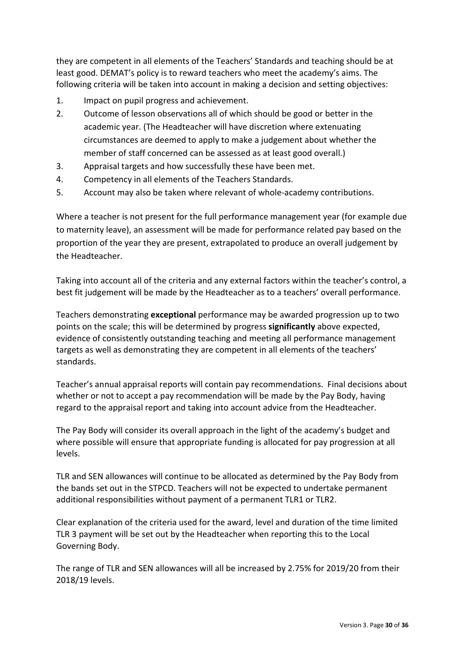they are competent in all elements of the Teachers' Standards and teaching should be at least good. DEMAT's policy is to reward teachers who meet the academy's aims. The following criteria will be taken into account in making a decision and setting objectives:

- 1. Impact on pupil progress and achievement.
- 2. Outcome of lesson observations all of which should be good or better in the academic year. (The Headteacher will have discretion where extenuating circumstances are deemed to apply to make a judgement about whether the member of staff concerned can be assessed as at least good overall.)
- 3. Appraisal targets and how successfully these have been met.
- 4. Competency in all elements of the Teachers Standards.
- 5. Account may also be taken where relevant of whole-academy contributions.

Where a teacher is not present for the full performance management year (for example due to maternity leave), an assessment will be made for performance related pay based on the proportion of the year they are present, extrapolated to produce an overall judgement by the Headteacher.

Taking into account all of the criteria and any external factors within the teacher's control, a best fit judgement will be made by the Headteacher as to a teachers' overall performance.

Teachers demonstrating exceptional performance may be awarded progression up to two points on the scale; this will be determined by progress significantly above expected, evidence of consistently outstanding teaching and meeting all performance management targets as well as demonstrating they are competent in all elements of the teachers' standards.

Teacher's annual appraisal reports will contain pay recommendations. Final decisions about whether or not to accept a pay recommendation will be made by the Pay Body, having regard to the appraisal report and taking into account advice from the Headteacher.

The Pay Body will consider its overall approach in the light of the academy's budget and where possible will ensure that appropriate funding is allocated for pay progression at all levels.

TLR and SEN allowances will continue to be allocated as determined by the Pay Body from the bands set out in the STPCD. Teachers will not be expected to undertake permanent additional responsibilities without payment of a permanent TLR1 or TLR2.

Clear explanation of the criteria used for the award, level and duration of the time limited TLR 3 payment will be set out by the Headteacher when reporting this to the Local Governing Body.

The range of TLR and SEN allowances will all be increased by 2.75% for 2019/20 from their 2018/19 levels.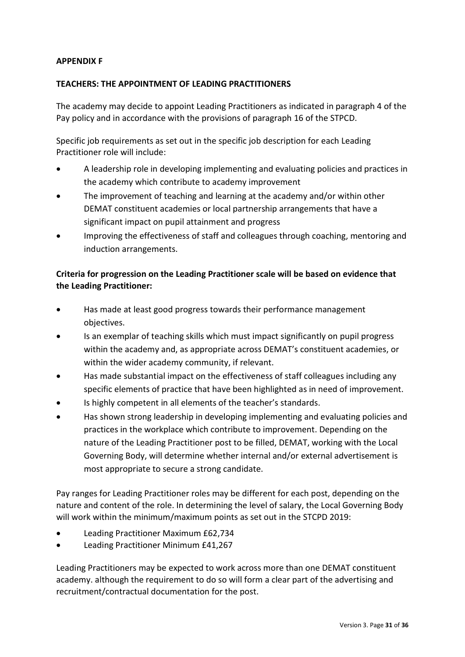### APPENDIX F

### TEACHERS: THE APPOINTMENT OF LEADING PRACTITIONERS

The academy may decide to appoint Leading Practitioners as indicated in paragraph 4 of the Pay policy and in accordance with the provisions of paragraph 16 of the STPCD.

Specific job requirements as set out in the specific job description for each Leading Practitioner role will include:

- A leadership role in developing implementing and evaluating policies and practices in the academy which contribute to academy improvement
- The improvement of teaching and learning at the academy and/or within other DEMAT constituent academies or local partnership arrangements that have a significant impact on pupil attainment and progress
- Improving the effectiveness of staff and colleagues through coaching, mentoring and induction arrangements.

# Criteria for progression on the Leading Practitioner scale will be based on evidence that the Leading Practitioner:

- Has made at least good progress towards their performance management objectives.
- Is an exemplar of teaching skills which must impact significantly on pupil progress within the academy and, as appropriate across DEMAT's constituent academies, or within the wider academy community, if relevant.
- Has made substantial impact on the effectiveness of staff colleagues including any specific elements of practice that have been highlighted as in need of improvement.
- Is highly competent in all elements of the teacher's standards.
- Has shown strong leadership in developing implementing and evaluating policies and practices in the workplace which contribute to improvement. Depending on the nature of the Leading Practitioner post to be filled, DEMAT, working with the Local Governing Body, will determine whether internal and/or external advertisement is most appropriate to secure a strong candidate.

Pay ranges for Leading Practitioner roles may be different for each post, depending on the nature and content of the role. In determining the level of salary, the Local Governing Body will work within the minimum/maximum points as set out in the STCPD 2019:

- Leading Practitioner Maximum £62,734
- Leading Practitioner Minimum £41,267

Leading Practitioners may be expected to work across more than one DEMAT constituent academy. although the requirement to do so will form a clear part of the advertising and recruitment/contractual documentation for the post.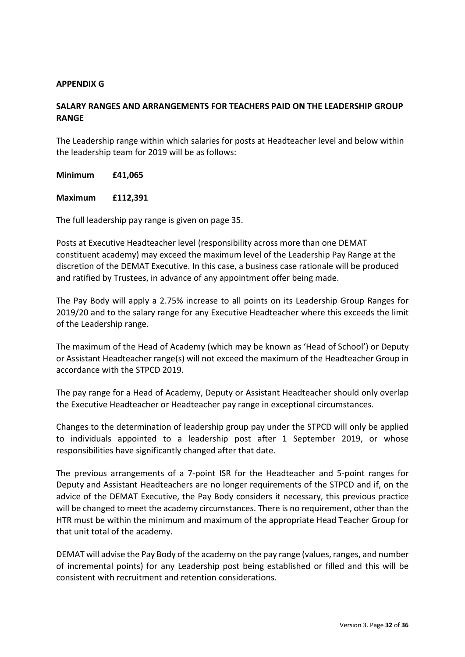#### APPENDIX G

## SALARY RANGES AND ARRANGEMENTS FOR TEACHERS PAID ON THE LEADERSHIP GROUP RANGE

The Leadership range within which salaries for posts at Headteacher level and below within the leadership team for 2019 will be as follows:

Minimum £41,065

#### Maximum £112,391

The full leadership pay range is given on page 35.

Posts at Executive Headteacher level (responsibility across more than one DEMAT constituent academy) may exceed the maximum level of the Leadership Pay Range at the discretion of the DEMAT Executive. In this case, a business case rationale will be produced and ratified by Trustees, in advance of any appointment offer being made.

The Pay Body will apply a 2.75% increase to all points on its Leadership Group Ranges for 2019/20 and to the salary range for any Executive Headteacher where this exceeds the limit of the Leadership range.

The maximum of the Head of Academy (which may be known as 'Head of School') or Deputy or Assistant Headteacher range(s) will not exceed the maximum of the Headteacher Group in accordance with the STPCD 2019.

The pay range for a Head of Academy, Deputy or Assistant Headteacher should only overlap the Executive Headteacher or Headteacher pay range in exceptional circumstances.

Changes to the determination of leadership group pay under the STPCD will only be applied to individuals appointed to a leadership post after 1 September 2019, or whose responsibilities have significantly changed after that date.

The previous arrangements of a 7-point ISR for the Headteacher and 5-point ranges for Deputy and Assistant Headteachers are no longer requirements of the STPCD and if, on the advice of the DEMAT Executive, the Pay Body considers it necessary, this previous practice will be changed to meet the academy circumstances. There is no requirement, other than the HTR must be within the minimum and maximum of the appropriate Head Teacher Group for that unit total of the academy.

DEMAT will advise the Pay Body of the academy on the pay range (values, ranges, and number of incremental points) for any Leadership post being established or filled and this will be consistent with recruitment and retention considerations.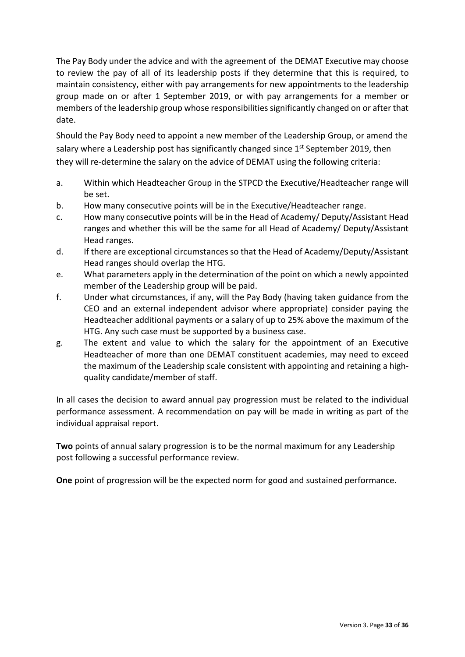The Pay Body under the advice and with the agreement of the DEMAT Executive may choose to review the pay of all of its leadership posts if they determine that this is required, to maintain consistency, either with pay arrangements for new appointments to the leadership group made on or after 1 September 2019, or with pay arrangements for a member or members of the leadership group whose responsibilities significantly changed on or after that date.

Should the Pay Body need to appoint a new member of the Leadership Group, or amend the salary where a Leadership post has significantly changed since  $1<sup>st</sup>$  September 2019, then they will re-determine the salary on the advice of DEMAT using the following criteria:

- a. Within which Headteacher Group in the STPCD the Executive/Headteacher range will be set.
- b. How many consecutive points will be in the Executive/Headteacher range.
- c. How many consecutive points will be in the Head of Academy/ Deputy/Assistant Head ranges and whether this will be the same for all Head of Academy/ Deputy/Assistant Head ranges.
- d. If there are exceptional circumstances so that the Head of Academy/Deputy/Assistant Head ranges should overlap the HTG.
- e. What parameters apply in the determination of the point on which a newly appointed member of the Leadership group will be paid.
- f. Under what circumstances, if any, will the Pay Body (having taken guidance from the CEO and an external independent advisor where appropriate) consider paying the Headteacher additional payments or a salary of up to 25% above the maximum of the HTG. Any such case must be supported by a business case.
- g. The extent and value to which the salary for the appointment of an Executive Headteacher of more than one DEMAT constituent academies, may need to exceed the maximum of the Leadership scale consistent with appointing and retaining a highquality candidate/member of staff.

In all cases the decision to award annual pay progression must be related to the individual performance assessment. A recommendation on pay will be made in writing as part of the individual appraisal report.

Two points of annual salary progression is to be the normal maximum for any Leadership post following a successful performance review.

One point of progression will be the expected norm for good and sustained performance.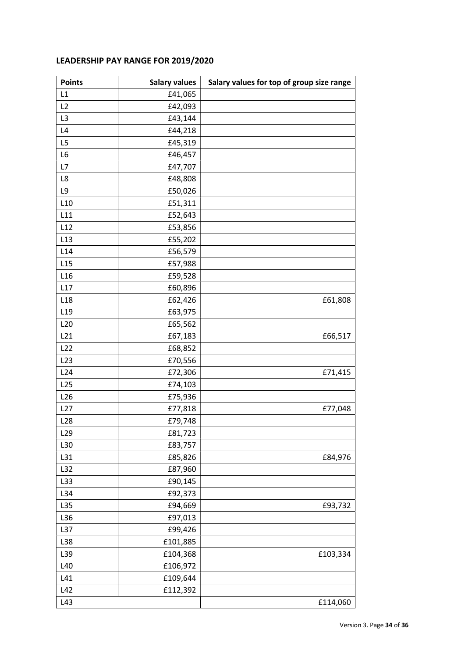# LEADERSHIP PAY RANGE FOR 2019/2020

| <b>Points</b>   | <b>Salary values</b> | Salary values for top of group size range |
|-----------------|----------------------|-------------------------------------------|
| L1              | £41,065              |                                           |
| L2              | £42,093              |                                           |
| L <sub>3</sub>  | £43,144              |                                           |
| L4              | £44,218              |                                           |
| L5              | £45,319              |                                           |
| L6              | £46,457              |                                           |
| L7              | £47,707              |                                           |
| L8              | £48,808              |                                           |
| L9              | £50,026              |                                           |
| L10             | £51,311              |                                           |
| L11             | £52,643              |                                           |
| L12             | £53,856              |                                           |
| L13             | £55,202              |                                           |
| L14             | £56,579              |                                           |
| L15             | £57,988              |                                           |
| L16             | £59,528              |                                           |
| L17             | £60,896              |                                           |
| L <sub>18</sub> | £62,426              | £61,808                                   |
| L <sub>19</sub> | £63,975              |                                           |
| L20             | £65,562              |                                           |
| L21             | £67,183              | £66,517                                   |
| L22             | £68,852              |                                           |
| L23             | £70,556              |                                           |
| L24             | £72,306              | £71,415                                   |
| L25             | £74,103              |                                           |
| L26             | £75,936              |                                           |
| L27             | £77,818              | £77,048                                   |
| L28             | £79,748              |                                           |
| L <sub>29</sub> | £81,723              |                                           |
| L30             | £83,757              |                                           |
| L31             | £85,826              | £84,976                                   |
| L32             | £87,960              |                                           |
| L33             | £90,145              |                                           |
| L34             | £92,373              |                                           |
| L35             | £94,669              | £93,732                                   |
| L36             | £97,013              |                                           |
| L37             | £99,426              |                                           |
| L38             | £101,885             |                                           |
| L39             | £104,368             | £103,334                                  |
| L40             | £106,972             |                                           |
| L41             | £109,644             |                                           |
| L42             | £112,392             |                                           |
| L43             |                      | £114,060                                  |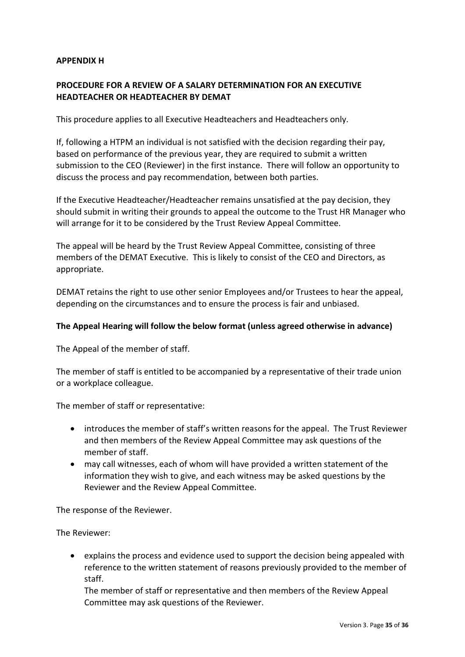### APPENDIX H

## PROCEDURE FOR A REVIEW OF A SALARY DETERMINATION FOR AN EXECUTIVE HEADTEACHER OR HEADTEACHER BY DEMAT

This procedure applies to all Executive Headteachers and Headteachers only.

If, following a HTPM an individual is not satisfied with the decision regarding their pay, based on performance of the previous year, they are required to submit a written submission to the CEO (Reviewer) in the first instance. There will follow an opportunity to discuss the process and pay recommendation, between both parties.

If the Executive Headteacher/Headteacher remains unsatisfied at the pay decision, they should submit in writing their grounds to appeal the outcome to the Trust HR Manager who will arrange for it to be considered by the Trust Review Appeal Committee.

The appeal will be heard by the Trust Review Appeal Committee, consisting of three members of the DEMAT Executive. This is likely to consist of the CEO and Directors, as appropriate.

DEMAT retains the right to use other senior Employees and/or Trustees to hear the appeal, depending on the circumstances and to ensure the process is fair and unbiased.

### The Appeal Hearing will follow the below format (unless agreed otherwise in advance)

The Appeal of the member of staff.

The member of staff is entitled to be accompanied by a representative of their trade union or a workplace colleague.

The member of staff or representative:

- introduces the member of staff's written reasons for the appeal. The Trust Reviewer and then members of the Review Appeal Committee may ask questions of the member of staff.
- may call witnesses, each of whom will have provided a written statement of the information they wish to give, and each witness may be asked questions by the Reviewer and the Review Appeal Committee.

The response of the Reviewer.

The Reviewer:

 explains the process and evidence used to support the decision being appealed with reference to the written statement of reasons previously provided to the member of staff.

The member of staff or representative and then members of the Review Appeal Committee may ask questions of the Reviewer.